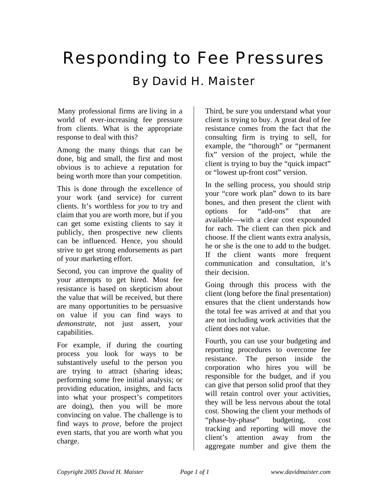## Responding to Fee Pressures

## By David H. Maister

Many professional firms are living in a world of ever-increasing fee pressure from clients. What is the appropriate response to deal with this?

Among the many things that can be done, big and small, the first and most obvious is to achieve a reputation for being worth more than your competition.

This is done through the excellence of your work (and service) for current clients. It's worthless for *you* to try and claim that you are worth more, but if you can get some existing clients to say it publicly, then prospective new clients can be influenced. Hence, you should strive to get strong endorsements as part of your marketing effort.

Second, you can improve the quality of your attempts to get hired. Most fee resistance is based on skepticism about the value that will be received, but there are many opportunities to be persuasive on value if you can find ways to *demonstrate,* not just assert, your capabilities.

For example, if during the courting process you look for ways to be substantively useful to the person you are trying to attract (sharing ideas; performing some free initial analysis; or providing education, insights, and facts into what your prospect's competitors are doing), then you will be more convincing on value. The challenge is to find ways to *prove*, before the project even starts, that you are worth what you charge.

Third, be sure you understand what your client is trying to buy. A great deal of fee resistance comes from the fact that the consulting firm is trying to sell, for example, the "thorough" or "permanent fix" version of the project, while the client is trying to buy the "quick impact" or "lowest up-front cost" version.

In the selling process, you should strip your "core work plan" down to its bare bones, and then present the client with options for "add-ons" that are available—with a clear cost expounded for each. The client can then pick and choose. If the client wants extra analysis, he or she is the one to add to the budget. If the client wants more frequent communication and consultation, it's their decision.

Going through this process with the client (long before the final presentation) ensures that the client understands how the total fee was arrived at and that you are not including work activities that the client does not value.

Fourth, you can use your budgeting and reporting procedures to overcome fee resistance. The person inside the corporation who hires you will be responsible for the budget, and if you can give that person solid proof that they will retain control over your activities, they will be less nervous about the total cost. Showing the client your methods of "phase-by-phase" budgeting, cost tracking and reporting will move the client's attention away from the aggregate number and give them the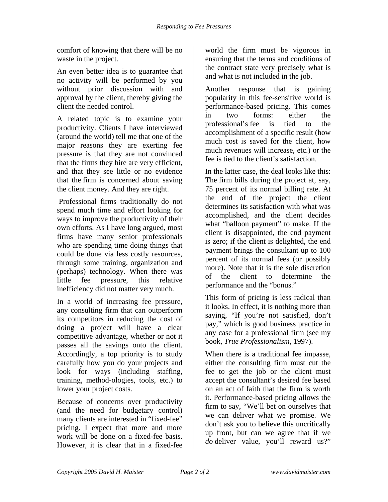comfort of knowing that there will be no waste in the project.

An even better idea is to guarantee that no activity will be performed by you without prior discussion with and approval by the client, thereby giving the client the needed control.

A related topic is to examine your productivity. Clients I have interviewed (around the world) tell me that one of the major reasons they are exerting fee pressure is that they are not convinced that the firms they hire are very efficient, and that they see little or no evidence that the firm is concerned about saving the client money. And they are right.

 Professional firms traditionally do not spend much time and effort looking for ways to improve the productivity of their own efforts. As I have long argued, most firms have many senior professionals who are spending time doing things that could be done via less costly resources, through some training, organization and (perhaps) technology. When there was little fee pressure, this relative inefficiency did not matter very much.

In a world of increasing fee pressure, any consulting firm that can outperform its competitors in reducing the cost of doing a project will have a clear competitive advantage, whether or not it passes all the savings onto the client. Accordingly, a top priority is to study carefully how you do your projects and look for ways (including staffing, training, method-ologies, tools, etc.) to lower your project costs.

Because of concerns over productivity (and the need for budgetary control) many clients are interested in "fixed-fee" pricing. I expect that more and more work will be done on a fixed-fee basis. However, it is clear that in a fixed-fee

world the firm must be vigorous in ensuring that the terms and conditions of the contract state very precisely what is and what is not included in the job.

Another response that is gaining popularity in this fee-sensitive world is performance-based pricing. This comes in two forms: either the professional's fee is tied to the accomplishment of a specific result (how much cost is saved for the client, how much revenues will increase, etc.) or the fee is tied to the client's satisfaction.

In the latter case, the deal looks like this: The firm bills during the project at, say, 75 percent of its normal billing rate. At the end of the project the client determines its satisfaction with what was accomplished, and the client decides what "balloon payment" to make. If the client is disappointed, the end payment is zero; if the client is delighted, the end payment brings the consultant up to 100 percent of its normal fees (or possibly more). Note that it is the sole discretion of the client to determine the performance and the "bonus."

This form of pricing is less radical than it looks. In effect, it is nothing more than saying, "If you're not satisfied, don't pay," which is good business practice in any case for a professional firm (see my book, *True Professionalism,* 1997).

When there is a traditional fee impasse, either the consulting firm must cut the fee to get the job or the client must accept the consultant's desired fee based on an act of faith that the firm is worth it. Performance-based pricing allows the firm to say, "We'll bet on ourselves that we can deliver what we promise. We don't ask you to believe this uncritically up front, but can we agree that if we *do* deliver value, you'll reward us?"